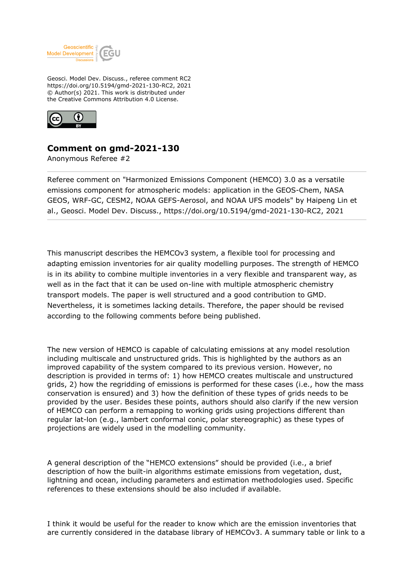

Geosci. Model Dev. Discuss., referee comment RC2 https://doi.org/10.5194/gmd-2021-130-RC2, 2021 © Author(s) 2021. This work is distributed under the Creative Commons Attribution 4.0 License.



## **Comment on gmd-2021-130**

Anonymous Referee #2

Referee comment on "Harmonized Emissions Component (HEMCO) 3.0 as a versatile emissions component for atmospheric models: application in the GEOS-Chem, NASA GEOS, WRF-GC, CESM2, NOAA GEFS-Aerosol, and NOAA UFS models" by Haipeng Lin et al., Geosci. Model Dev. Discuss., https://doi.org/10.5194/gmd-2021-130-RC2, 2021

This manuscript describes the HEMCOv3 system, a flexible tool for processing and adapting emission inventories for air quality modelling purposes. The strength of HEMCO is in its ability to combine multiple inventories in a very flexible and transparent way, as well as in the fact that it can be used on-line with multiple atmospheric chemistry transport models. The paper is well structured and a good contribution to GMD. Nevertheless, it is sometimes lacking details. Therefore, the paper should be revised according to the following comments before being published.

The new version of HEMCO is capable of calculating emissions at any model resolution including multiscale and unstructured grids. This is highlighted by the authors as an improved capability of the system compared to its previous version. However, no description is provided in terms of: 1) how HEMCO creates multiscale and unstructured grids, 2) how the regridding of emissions is performed for these cases (i.e., how the mass conservation is ensured) and 3) how the definition of these types of grids needs to be provided by the user. Besides these points, authors should also clarify if the new version of HEMCO can perform a remapping to working grids using projections different than regular lat-lon (e.g., lambert conformal conic, polar stereographic) as these types of projections are widely used in the modelling community.

A general description of the "HEMCO extensions" should be provided (i.e., a brief description of how the built-in algorithms estimate emissions from vegetation, dust, lightning and ocean, including parameters and estimation methodologies used. Specific references to these extensions should be also included if available.

I think it would be useful for the reader to know which are the emission inventories that are currently considered in the database library of HEMCOv3. A summary table or link to a